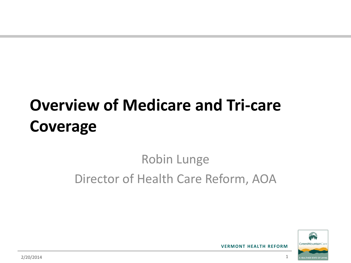# **Overview of Medicare and Tri-care Coverage**

#### Robin Lunge Director of Health Care Reform, AOA

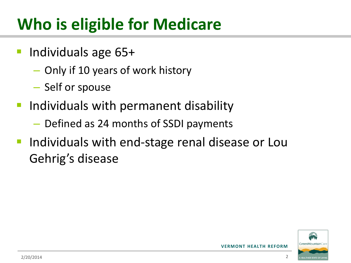# **Who is eligible for Medicare**

- Individuals age 65+
	- Only if 10 years of work history
	- Self or spouse
- **Individuals with permanent disability** 
	- Defined as 24 months of SSDI payments
- Individuals with end-stage renal disease or Lou Gehrig's disease

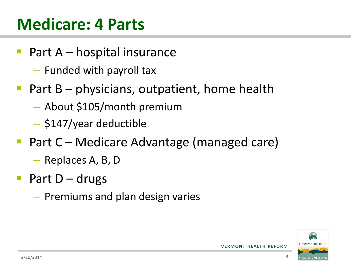#### **Medicare: 4 Parts**

- Part A hospital insurance
	- Funded with payroll tax
- Part B physicians, outpatient, home health
	- About \$105/month premium
	- \$147/year deductible
- Part C Medicare Advantage (managed care)
	- Replaces A, B, D
- Part D drugs
	- Premiums and plan design varies

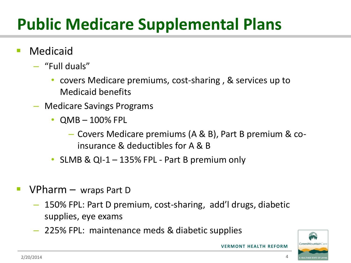# **Public Medicare Supplemental Plans**

- Medicaid
	- "Full duals"
		- covers Medicare premiums, cost-sharing , & services up to Medicaid benefits
	- Medicare Savings Programs
		- QMB 100% FPL
			- Covers Medicare premiums (A & B), Part B premium & coinsurance & deductibles for A & B
		- SLMB & QI-1 135% FPL Part B premium only
- **VPharm** wraps Part D
	- 150% FPL: Part D premium, cost-sharing, add'l drugs, diabetic supplies, eye exams
	- 225% FPL: maintenance meds & diabetic supplies

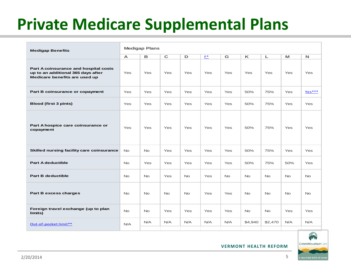## **Private Medicare Supplemental Plans**

| <b>Medigap Benefits</b>                                                                                      | <b>Medigap Plans</b> |           |             |           |                |           |           |             |            |             |  |
|--------------------------------------------------------------------------------------------------------------|----------------------|-----------|-------------|-----------|----------------|-----------|-----------|-------------|------------|-------------|--|
|                                                                                                              | $\blacktriangle$     | B         | $\mathbf C$ | D         | $\mathsf{F}^*$ | G         | $\kappa$  | $\mathbb L$ | M          | $\mathbf N$ |  |
| Part A coinsurance and hospital costs<br>up to an additional 365 days after<br>Medicare benefits are used up | Yes                  | Yes       | Yes         | Yes       | Yes            | Yes       | Yes       | Yes         | Yes        | Yes         |  |
| Part B coinsurance or copayment                                                                              | Yes                  | Yes       | Yes         | Yes       | <b>Yes</b>     | Yes       | 50%       | 75%         | Yes        | Yes***      |  |
| <b>Blood (first 3 pints)</b>                                                                                 | Yes                  | Yes       | Yes         | Yes       | Yes            | Yes       | 50%       | 75%         | Yes        | Yes         |  |
| Part A hospice care coinsurance or<br>copayment                                                              | Yes                  | Yes       | Yes         | Yes       | Yes            | Yes       | 50%       | 75%         | Yes        | Yes         |  |
| Skilled nursing facility care coinsurance                                                                    | <b>No</b>            | <b>No</b> | Yes         | Yes       | <b>Yes</b>     | Yes       | 50%       | 75%         | <b>Yes</b> | <b>Yes</b>  |  |
| <b>Part A deductible</b>                                                                                     | <b>No</b>            | Yes       | Yes         | Yes       | <b>Yes</b>     | Yes       | 50%       | 75%         | 50%        | Yes         |  |
| <b>Part B deductible</b>                                                                                     | <b>No</b>            | <b>No</b> | Yes         | <b>No</b> | Yes            | <b>No</b> | <b>No</b> | <b>No</b>   | <b>No</b>  | No.         |  |
| Part B excess charges                                                                                        | <b>No</b>            | <b>No</b> | No          | <b>No</b> | Yes            | Yes       | <b>No</b> | <b>No</b>   | <b>No</b>  | <b>No</b>   |  |
| Foreign travel exchange (up to plan<br>limits)                                                               | No                   | <b>No</b> | Yes         | Yes       | Yes            | Yes       | <b>No</b> | <b>No</b>   | Yes        | <b>Yes</b>  |  |
| Out-of-pocket limit**                                                                                        | N/A                  | N/A       | N/A         | N/A       | N/A            | N/A       | \$4,940   | \$2,470     | N/A        | N/A         |  |

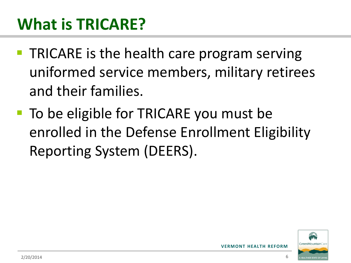## **What is TRICARE?**

- **TRICARE is the health care program serving** uniformed service members, military retirees and their families.
- To be eligible for TRICARE you must be enrolled in the Defense Enrollment Eligibility Reporting System (DEERS).

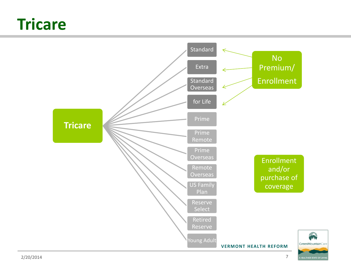#### **Tricare**

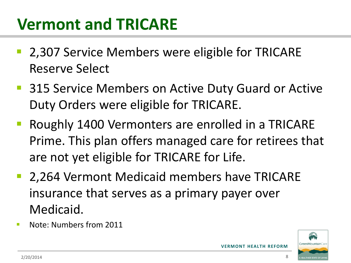### **Vermont and TRICARE**

- 2,307 Service Members were eligible for TRICARE Reserve Select
- 315 Service Members on Active Duty Guard or Active Duty Orders were eligible for TRICARE.
- Roughly 1400 Vermonters are enrolled in a TRICARE Prime. This plan offers managed care for retirees that are not yet eligible for TRICARE for Life.
- 2,264 Vermont Medicaid members have TRICARE insurance that serves as a primary payer over Medicaid.
- Note: Numbers from 2011

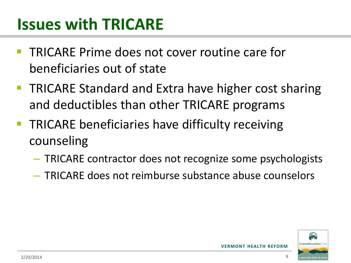### **Issues with TRICARE**

- TRICARE Prime does not cover routine care for beneficiaries out of state
- TRICARE Standard and Extra have higher cost sharing and deductibles than other TRICARE programs
- **TRICARE beneficiaries have difficulty receiving** counseling
	- TRICARE contractor does not recognize some psychologists
	- TRICARE does not reimburse substance abuse counselors